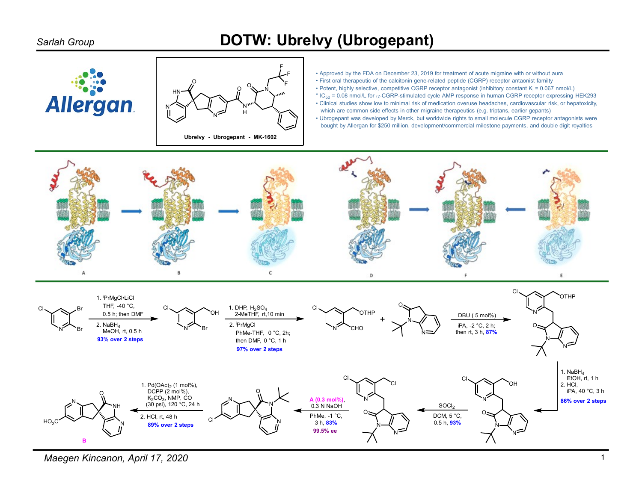## Sarlah Group **DOTW: Ubrelvy (Ubrogepant)**





 $\begin{array}{ccc}\nO & \longrightarrow & \text{First order the calculation in general case, representing the relative to the calculation.}\n\end{array}$  • Potent, highly selective, competitive CGRP receptor antagonist (inhibitory constant K<sub>i</sub> = 0.067 nmol/L) **F**  $\bullet$  Approved by the FDA on December 23, 2019 for treatment of acute migraine with or without aura  $\overline{O}$   $\overline{O}$   $\overline{O}$   $\overline{O}$  First oral therapeutic of the calcitonin gene-related peptide (CGRP) receptor antaonist familty

 $\mathcal{H}$   $\mathcal{H}$   $\mathcal{H}$   $\mathcal{H}$   $\mathcal{H}$   $\mathcal{H}$   $\mathcal{H}$   $\mathcal{H}$   $\mathcal{H}$   $\mathcal{H}$   $\mathcal{H}$   $\mathcal{H}$   $\mathcal{H}$   $\mathcal{H}$   $\mathcal{H}$   $\mathcal{H}$   $\mathcal{H}$   $\mathcal{H}$   $\mathcal{H}$   $\mathcal{H}$   $\mathcal{H}$   $\mathcal{H}$   $\mathcal{H}$   $\mathcal{H}$   $\mathcal{$ N<sup>W</sup> (Finical studies show low to minimal risk of medication overuse headaches, cardiovascular risk, or hepatoxicity, H which are common side effects in other migraine therapeutics (e.g. triptans, earlier gepants)

N<br>
I Discovery Depart was developed by Merck, but worldwide rights to small molecule CGRP receptor antagonists were





Maegen Kincanon, April 17, 2020 1